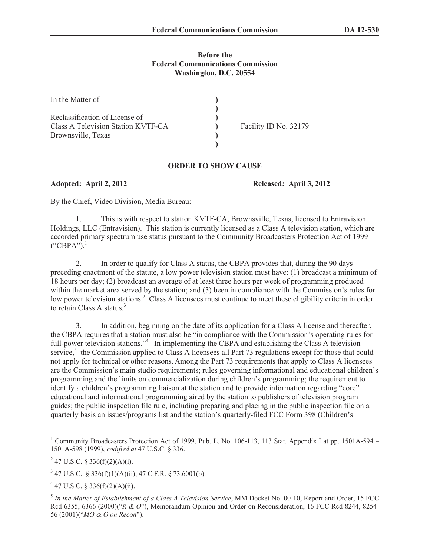## **Before the Federal Communications Commission Washington, D.C. 20554**

| In the Matter of                   |                       |
|------------------------------------|-----------------------|
|                                    |                       |
| Reclassification of License of     |                       |
| Class A Television Station KVTF-CA | Facility ID No. 32179 |
| Brownsville, Texas                 |                       |
|                                    |                       |

## **ORDER TO SHOW CAUSE**

**Adopted: April 2, 2012 Released: April 3, 2012**

By the Chief, Video Division, Media Bureau:

1. This is with respect to station KVTF-CA, Brownsville, Texas, licensed to Entravision Holdings, LLC (Entravision). This station is currently licensed as a Class A television station, which are accorded primary spectrum use status pursuant to the Community Broadcasters Protection Act of 1999  $("CBPA")$ <sup>1</sup>

2. In order to qualify for Class A status, the CBPA provides that, during the 90 days preceding enactment of the statute, a low power television station must have: (1) broadcast a minimum of 18 hours per day; (2) broadcast an average of at least three hours per week of programming produced within the market area served by the station; and (3) been in compliance with the Commission's rules for low power television stations.<sup>2</sup> Class A licensees must continue to meet these eligibility criteria in order to retain Class A status.<sup>3</sup>

3. In addition, beginning on the date of its application for a Class A license and thereafter, the CBPA requires that a station must also be "in compliance with the Commission's operating rules for full-power television stations."<sup>4</sup> In implementing the CBPA and establishing the Class A television service,<sup>5</sup> the Commission applied to Class A licensees all Part 73 regulations except for those that could not apply for technical or other reasons. Among the Part 73 requirements that apply to Class A licensees are the Commission's main studio requirements; rules governing informational and educational children's programming and the limits on commercialization during children's programming; the requirement to identify a children's programming liaison at the station and to provide information regarding "core" educational and informational programming aired by the station to publishers of television program guides; the public inspection file rule, including preparing and placing in the public inspection file on a quarterly basis an issues/programs list and the station's quarterly-filed FCC Form 398 (Children's

<sup>&</sup>lt;sup>1</sup> Community Broadcasters Protection Act of 1999, Pub. L. No. 106-113, 113 Stat. Appendix I at pp. 1501A-594 – 1501A-598 (1999), *codified at* 47 U.S.C. § 336.

<sup>&</sup>lt;sup>2</sup> 47 U.S.C. § 336(f)(2)(A)(i).

 $3$  47 U.S.C.. § 336(f)(1)(A)(ii); 47 C.F.R. § 73.6001(b).

 $4$  47 U.S.C. § 336(f)(2)(A)(ii).

<sup>5</sup> *In the Matter of Establishment of a Class A Television Service*, MM Docket No. 00-10, Report and Order, 15 FCC Rcd 6355, 6366 (2000)("*R & O*"), Memorandum Opinion and Order on Reconsideration, 16 FCC Rcd 8244, 8254- 56 (2001)("*MO & O on Recon*").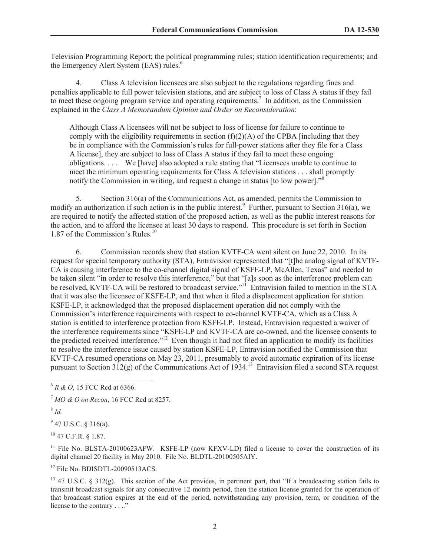Television Programming Report; the political programming rules; station identification requirements; and the Emergency Alert System (EAS) rules.<sup>6</sup>

4. Class A television licensees are also subject to the regulations regarding fines and penalties applicable to full power television stations, and are subject to loss of Class A status if they fail to meet these ongoing program service and operating requirements.<sup>7</sup> In addition, as the Commission explained in the *Class A Memorandum Opinion and Order on Reconsideration*:

Although Class A licensees will not be subject to loss of license for failure to continue to comply with the eligibility requirements in section  $(f)(2)(A)$  of the CPBA [including that they be in compliance with the Commission's rules for full-power stations after they file for a Class A license], they are subject to loss of Class A status if they fail to meet these ongoing obligations. . . . We [have] also adopted a rule stating that "Licensees unable to continue to meet the minimum operating requirements for Class A television stations . . . shall promptly notify the Commission in writing, and request a change in status [to low power].<sup>58</sup>

5. Section 316(a) of the Communications Act, as amended, permits the Commission to modify an authorization if such action is in the public interest.<sup>9</sup> Further, pursuant to Section 316(a), we are required to notify the affected station of the proposed action, as well as the public interest reasons for the action, and to afford the licensee at least 30 days to respond. This procedure is set forth in Section 1.87 of the Commission's Rules.<sup>10</sup>

6. Commission records show that station KVTF-CA went silent on June 22, 2010. In its request for special temporary authority (STA), Entravision represented that "[t]he analog signal of KVTF-CA is causing interference to the co-channel digital signal of KSFE-LP, McAllen, Texas" and needed to be taken silent "in order to resolve this interference," but that "[a]s soon as the interference problem can be resolved, KVTF-CA will be restored to broadcast service."<sup>11</sup> Entravision failed to mention in the STA that it was also the licensee of KSFE-LP, and that when it filed a displacement application for station KSFE-LP, it acknowledged that the proposed displacement operation did not comply with the Commission's interference requirements with respect to co-channel KVTF-CA, which as a Class A station is entitled to interference protection from KSFE-LP. Instead, Entravision requested a waiver of the interference requirements since "KSFE-LP and KVTF-CA are co-owned, and the licensee consents to the predicted received interference."<sup>12</sup> Even though it had not filed an application to modify its facilities to resolve the interference issue caused by station KSFE-LP, Entravision notified the Commission that KVTF-CA resumed operations on May 23, 2011, presumably to avoid automatic expiration of its license pursuant to Section  $312(g)$  of the Communications Act of 1934.<sup>13</sup> Entravision filed a second STA request

8 *Id.*

 $9$  47 U.S.C. § 316(a).

 $^{10}$  47 C.F.R.  $8$  1.87.

<sup>11</sup> File No. BLSTA-20100623AFW. KSFE-LP (now KFXV-LD) filed a license to cover the construction of its digital channel 20 facility in May 2010. File No. BLDTL-20100505AIY.

<sup>12</sup> File No. BDISDTL-20090513ACS

<sup>13</sup> 47 U.S.C. § 312(g). This section of the Act provides, in pertinent part, that "If a broadcasting station fails to transmit broadcast signals for any consecutive 12-month period, then the station license granted for the operation of that broadcast station expires at the end of the period, notwithstanding any provision, term, or condition of the license to the contrary . . .."

<sup>6</sup> *R & O*, 15 FCC Rcd at 6366.

<sup>7</sup> *MO & O on Recon*, 16 FCC Rcd at 8257.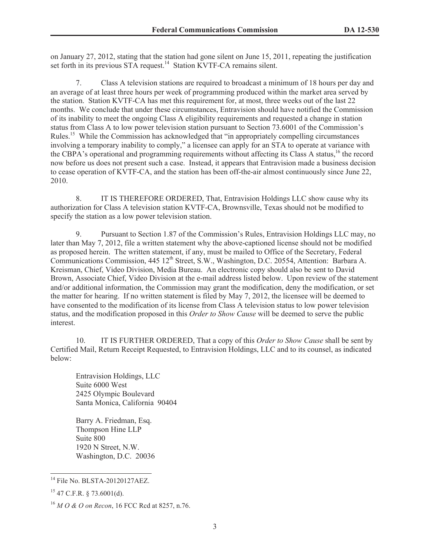on January 27, 2012, stating that the station had gone silent on June 15, 2011, repeating the justification set forth in its previous  $ST\overrightarrow{A}$  request.<sup>14</sup> Station KVTF-CA remains silent.

7. Class A television stations are required to broadcast a minimum of 18 hours per day and an average of at least three hours per week of programming produced within the market area served by the station. Station KVTF-CA has met this requirement for, at most, three weeks out of the last 22 months. We conclude that under these circumstances, Entravision should have notified the Commission of its inability to meet the ongoing Class A eligibility requirements and requested a change in station status from Class A to low power television station pursuant to Section 73.6001 of the Commission's Rules.<sup>15</sup> While the Commission has acknowledged that "in appropriately compelling circumstances" involving a temporary inability to comply," a licensee can apply for an STA to operate at variance with the CBPA's operational and programming requirements without affecting its Class A status,<sup>16</sup> the record now before us does not present such a case. Instead, it appears that Entravision made a business decision to cease operation of KVTF-CA, and the station has been off-the-air almost continuously since June 22, 2010.

8. IT IS THEREFORE ORDERED, That, Entravision Holdings LLC show cause why its authorization for Class A television station KVTF-CA, Brownsville, Texas should not be modified to specify the station as a low power television station.

9. Pursuant to Section 1.87 of the Commission's Rules, Entravision Holdings LLC may, no later than May 7, 2012, file a written statement why the above-captioned license should not be modified as proposed herein. The written statement, if any, must be mailed to Office of the Secretary, Federal Communications Commission, 445 12<sup>th</sup> Street, S.W., Washington, D.C. 20554, Attention: Barbara A. Kreisman, Chief, Video Division, Media Bureau. An electronic copy should also be sent to David Brown, Associate Chief, Video Division at the e-mail address listed below. Upon review of the statement and/or additional information, the Commission may grant the modification, deny the modification, or set the matter for hearing. If no written statement is filed by May 7, 2012, the licensee will be deemed to have consented to the modification of its license from Class A television status to low power television status, and the modification proposed in this *Order to Show Cause* will be deemed to serve the public interest.

10. IT IS FURTHER ORDERED, That a copy of this *Order to Show Cause* shall be sent by Certified Mail, Return Receipt Requested, to Entravision Holdings, LLC and to its counsel, as indicated below:

Entravision Holdings, LLC Suite 6000 West 2425 Olympic Boulevard Santa Monica, California 90404

Barry A. Friedman, Esq. Thompson Hine LLP Suite 800 1920 N Street, N.W. Washington, D.C. 20036

<sup>&</sup>lt;sup>14</sup> File No. BLSTA-20120127AEZ.

 $15$  47 C.F.R. § 73.6001(d).

<sup>16</sup> *M O & O on Recon*, 16 FCC Rcd at 8257, n.76.